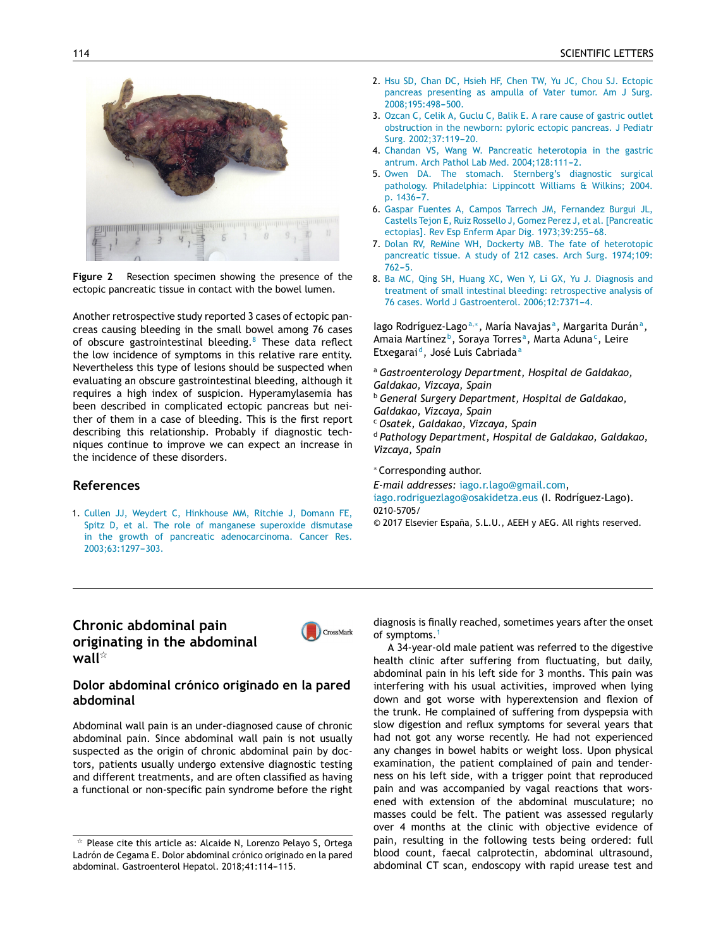

Resection specimen showing the presence of the Figure 2 ectopic pancreatic tissue in contact with the bowel lumen.

Another retrospective study reported 3 cases of ectopic pancreas causing bleeding in the small bowel among 76 cases of obscure gastrointestinal bleeding.<sup>8</sup> These data reflect the low incidence of symptoms in this relative rare entity. Nevertheless this type of lesions should be suspected when evaluating an obscure gastrointestinal bleeding, although it requires a high index of suspicion. Hyperamylasemia has been described in complicated ectopic pancreas but neither of them in a case of bleeding. This is the first report describing this relationship. Probably if diagnostic techniques continue to improve we can expect an increase in the incidence of these disorders.

#### **References**

1. Cullen JJ, Weydert C, Hinkhouse MM, Ritchie J, Domann FE, Spitz D, et al. The role of manganese superoxide dismutase in the growth of pancreatic adenocarcinoma. Cancer Res. 2003;63:1297-303.

- 2. Hsu SD, Chan DC, Hsieh HF, Chen TW, Yu JC, Chou SJ. Ectopic pancreas presenting as ampulla of Vater tumor. Am J Surg. 2008:195:498-500.
- 3. Ozcan C, Celik A, Guclu C, Balik E. A rare cause of gastric outlet obstruction in the newborn: pyloric ectopic pancreas. J Pediatr Surg. 2002;37:119-20.
- 4. Chandan VS, Wang W. Pancreatic heterotopia in the gastric antrum. Arch Pathol Lab Med. 2004;128:111-2.
- 5. Owen DA. The stomach. Sternberg's diagnostic surgical pathology. Philadelphia: Lippincott Williams & Wilkins; 2004. p. 1436-7.
- 6. Gaspar Fuentes A, Campos Tarrech JM, Fernandez Burgui JL, Castells Tejon E, Ruiz Rossello J, Gomez Perez J, et al. [Pancreatic ectopias]. Rev Esp Enferm Apar Dig. 1973;39:255-68.
- 7. Dolan RV, ReMine WH, Dockerty MB. The fate of heterotopic pancreatic tissue. A study of 212 cases. Arch Surg. 1974;109:  $762 - 5.$
- 8. Ba MC, Qing SH, Huang XC, Wen Y, Li GX, Yu J. Diagnosis and treatment of small intestinal bleeding: retrospective analysis of 76 cases. World J Gastroenterol. 2006;12:7371-4.

lago Rodríguez-Lago<sup>a,\*</sup>, María Navajas<sup>a</sup>, Margarita Durán<sup>a</sup>, Amaia Martínez<sup>b</sup>, Soraya Torres<sup>a</sup>, Marta Aduna<sup>c</sup>, Leire Etxegarai<sup>d</sup>, José Luis Cabriada<sup>a</sup>

<sup>a</sup> Gastroenterology Department, Hospital de Galdakao, Galdakao, Vizcaya, Spain <sup>b</sup> General Surgery Department, Hospital de Galdakao, Galdakao, Vizcaya, Spain

<sup>c</sup> Osatek, Galdakao, Vizcaya, Spain

<sup>d</sup> Pathology Department, Hospital de Galdakao, Galdakao, Vizcaya, Spain

\*Corresponding author.

E-mail addresses: iago.r.lago@gmail.com,

iago.rodriguezlago@osakidetza.eus (I. Rodríguez-Lago). 0210-5705/

© 2017 Elsevier España, S.L.U., AEEH y AEG. All rights reserved.

# Chronic abdominal pain originating in the abdominal wall $^{\star}$



## Dolor abdominal crónico originado en la pared abdominal

Abdominal wall pain is an under-diagnosed cause of chronic abdominal pain. Since abdominal wall pain is not usually suspected as the origin of chronic abdominal pain by doctors, patients usually undergo extensive diagnostic testing and different treatments, and are often classified as having a functional or non-specific pain syndrome before the right diagnosis is finally reached, sometimes years after the onset of symptoms.<sup>1</sup>

A 34-year-old male patient was referred to the digestive health clinic after suffering from fluctuating, but daily, abdominal pain in his left side for 3 months. This pain was interfering with his usual activities, improved when lying down and got worse with hyperextension and flexion of the trunk. He complained of suffering from dyspepsia with slow digestion and reflux symptoms for several years that had not got any worse recently. He had not experienced any changes in bowel habits or weight loss. Upon physical examination, the patient complained of pain and tenderness on his left side, with a trigger point that reproduced pain and was accompanied by vagal reactions that worsened with extension of the abdominal musculature; no masses could be felt. The patient was assessed regularly over 4 months at the clinic with objective evidence of pain, resulting in the following tests being ordered: full blood count, faecal calprotectin, abdominal ultrasound, abdominal CT scan, endoscopy with rapid urease test and

 $\star$  Please cite this article as: Alcaide N, Lorenzo Pelayo S, Ortega Ladrón de Cegama E. Dolor abdominal crónico originado en la pared abdominal. Gastroenterol Hepatol. 2018;41:114-115.